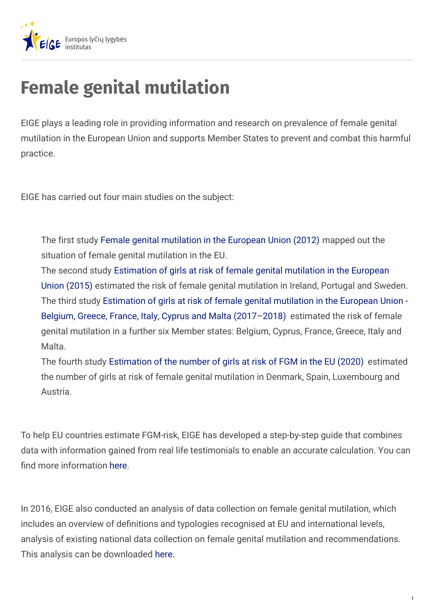

# **Female genital mutilation**

EIGE plays a leading role in providing information and research on prevalence of female genital mutilation in the European Union and supports Member States to prevent and combat this harmful practice.

EIGE has carried out four main studies on the subject:

The first study Female genital [mutilation](https://eige.europa.eu/lt/gender-based-violence/female-genital-mutilation?lang=de#2012) in the European Union (2012) mapped out the situation of female genital mutilation in the EU.

The second study [Estimation](https://eige.europa.eu/gender-based-violence/female-genital-mutilation/risk-estimations#2015) of girls at risk of female genital mutilation in the European Union (2015) estimated the risk of female genital mutilation in Ireland, Portugal and Sweden. The third study Estimation of girls at risk of female genital mutilation in the European Union - Belgium, Greece, France, Italy, Cyprus and Malta [\(2017–2018\)](https://eige.europa.eu/gender-based-violence/female-genital-mutilation/risk-estimations#2017) estimated the risk of female genital mutilation in a further six Member states: Belgium, Cyprus, France, Greece, Italy and Malta.

The fourth study [Estimation](https://eige.europa.eu/gender-based-violence/female-genital-mutilation/risk-estimations) of the number of girls at risk of FGM in the EU (2020) estimated the number of girls at risk of female genital mutilation in Denmark, Spain, Luxembourg and Austria.

To help EU countries estimate FGM-risk, EIGE has developed a step-by-step guide that combines data with information gained from real life testimonials to enable an accurate calculation. You can find more information [here](http://eige.europa.eu/publications/estimation-girls-risk-female-genital-mutilation-european-union-step-step-guide-2nd-edition).

In 2016, EIGE also conducted an analysis of data collection on female genital mutilation, which includes an overview of definitions and typologies recognised at EU and international levels, analysis of existing national data collection on female genital mutilation and recommendations. This analysis can be downloaded [here](https://eige.europa.eu/sites/default/files/Analysis of data collection on female genital mutilation.pdf).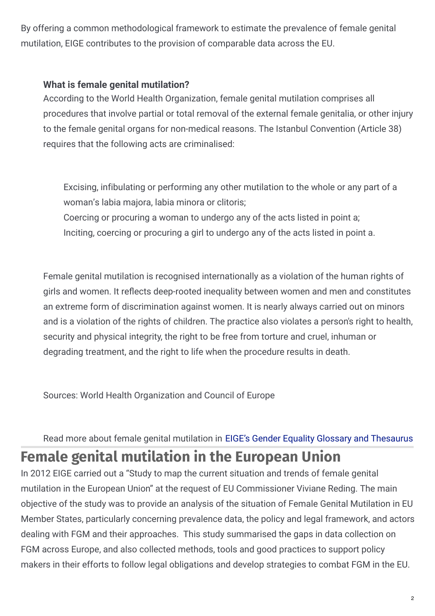By offering a common methodological framework to estimate the prevalence of female genital mutilation, EIGE contributes to the provision of comparable data across the EU.

#### **What is female genital mutilation?**

According to the World Health Organization, female genital mutilation comprises all procedures that involve partial or total removal of the external female genitalia, or other injury to the female genital organs for non-medical reasons. The Istanbul Convention (Article 38) requires that the following acts are criminalised:

Excising, infibulating or performing any other mutilation to the whole or any part of a woman's labia majora, labia minora or clitoris; Coercing or procuring a woman to undergo any of the acts listed in point a; Inciting, coercing or procuring a girl to undergo any of the acts listed in point a.

Female genital mutilation is recognised internationally as a violation of the human rights of girls and women. It reflects deep-rooted inequality between women and men and constitutes an extreme form of discrimination against women. It is nearly always carried out on minors and is a violation of the rights of children. The practice also violates a person's right to health, security and physical integrity, the right to be free from torture and cruel, inhuman or degrading treatment, and the right to life when the procedure results in death.

Sources: World Health Organization and Council of Europe

## Read more about female genital mutilation in EIGE's Gender Equality Glossary and [Thesaurus](https://eige.europa.eu/rdc/thesaurus/terms/1125) **Female genital mutilation in the European Union**

In 2012 EIGE carried out a "Study to map the current situation and trends of female genital mutilation in the European Union" at the request of EU Commissioner Viviane Reding. The main objective of the study was to provide an analysis of the situation of Female Genital Mutilation in EU Member States, particularly concerning prevalence data, the policy and legal framework, and actors dealing with FGM and their approaches. This study summarised the gaps in data collection on FGM across Europe, and also collected methods, tools and good practices to support policy makers in their efforts to follow legal obligations and develop strategies to combat FGM in the EU.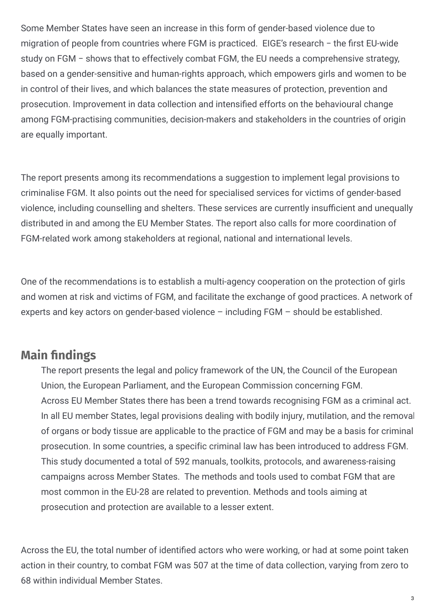Some Member States have seen an increase in this form of gender-based violence due to migration of people from countries where FGM is practiced. EIGE's research - the first EU-wide study on FGM − shows that to effectively combat FGM, the EU needs a comprehensive strategy, based on a gender-sensitive and human-rights approach, which empowers girls and women to be in control of their lives, and which balances the state measures of protection, prevention and prosecution. Improvement in data collection and intensified efforts on the behavioural change among FGM-practising communities, decision-makers and stakeholders in the countries of origin are equally important.

The report presents among its recommendations a suggestion to implement legal provisions to criminalise FGM. It also points out the need for specialised services for victims of gender-based violence, including counselling and shelters. These services are currently insufficient and unequally distributed in and among the EU Member States. The report also calls for more coordination of FGM-related work among stakeholders at regional, national and international levels.

One of the recommendations is to establish a multi-agency cooperation on the protection of girls and women at risk and victims of FGM, and facilitate the exchange of good practices. A network of experts and key actors on gender-based violence – including FGM – should be established.

### **Main findings**

The report presents the legal and policy framework of the UN, the Council of the European Union, the European Parliament, and the European Commission concerning FGM. Across EU Member States there has been a trend towards recognising FGM as a criminal act. In all EU member States, legal provisions dealing with bodily injury, mutilation, and the removal of organs or body tissue are applicable to the practice of FGM and may be a basis for criminal prosecution. In some countries, a specific criminal law has been introduced to address FGM. This study documented a total of 592 manuals, toolkits, protocols, and awareness-raising campaigns across Member States. The methods and tools used to combat FGM that are most common in the EU-28 are related to prevention. Methods and tools aiming at prosecution and protection are available to a lesser extent.

Across the EU, the total number of identified actors who were working, or had at some point taken action in their country, to combat FGM was 507 at the time of data collection, varying from zero to 68 within individual Member States.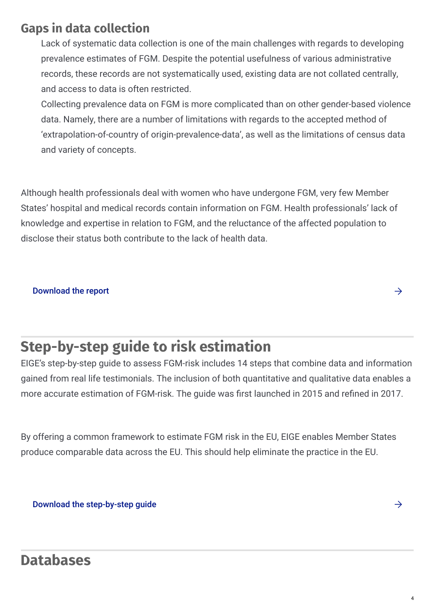### **Gaps in data collection**

Lack of systematic data collection is one of the main challenges with regards to developing prevalence estimates of FGM. Despite the potential usefulness of various administrative records, these records are not systematically used, existing data are not collated centrally, and access to data is often restricted.

Collecting prevalence data on FGM is more complicated than on other gender-based violence data. Namely, there are a number of limitations with regards to the accepted method of 'extrapolation-of-country of origin-prevalence-data', as well as the limitations of census data and variety of concepts.

Although health professionals deal with women who have undergone FGM, very few Member States' hospital and medical records contain information on FGM. Health professionals' lack of knowledge and expertise in relation to FGM, and the reluctance of the affected population to disclose their status both contribute to the lack of health data.

#### [Download](https://eige.europa.eu/rdc/eige-publications/female-genital-mutilation-european-union-report) the report  $\rightarrow$

## **Step-by-step guide to risk estimation**

EIGE's step-by-step guide to assess FGM-risk includes 14 steps that combine data and information gained from real life testimonials. The inclusion of both quantitative and qualitative data enables a more accurate estimation of FGM-risk. The quide was first launched in 2015 and refined in 2017.

By offering a common framework to estimate FGM risk in the EU, EIGE enables Member States produce comparable data across the EU. This should help eliminate the practice in the EU.

Download the [step-by-step](https://eige.europa.eu/publications/estimation-girls-risk-female-genital-mutilation-european-union-step-step-guide-2nd-edition) guide  $\rightarrow$ 

## **Databases**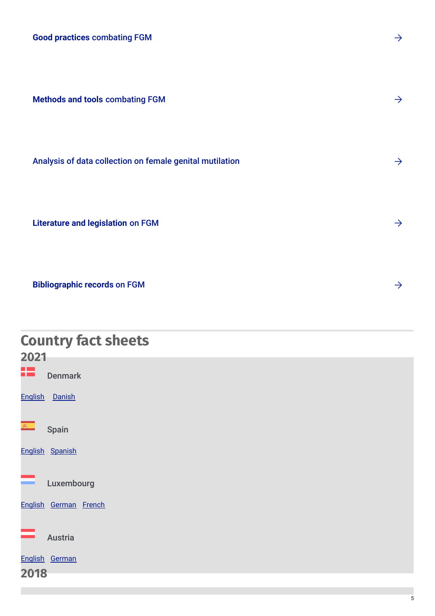**Good practices** [combating](https://eige.europa.eu/gender-based-violence/good-practices?topic[]=631) FGM

**Methods and tools** [combating](https://eige.europa.eu/gender-based-violence/methods-and-tools?vt[]=122) FGM

Analysis of data collection on female genital [mutilation](https://eige.europa.eu/rdc/eige-publications/analysis-data-collection-female-genital-mutilation)  $\rightarrow$ 

**Literature and [legislation](https://eige.europa.eu/gender-based-violence/literature-and-legislation?vt[]=122)** on FGM

**[Bibliographic](https://eige.europa.eu/lt/library%3Ft%3Dfemale%2Bgenital%2Bmutilation%26amp%3Bsort_by%3Dcdate?lang=de) records** on FGM

## **Country fact sheets**

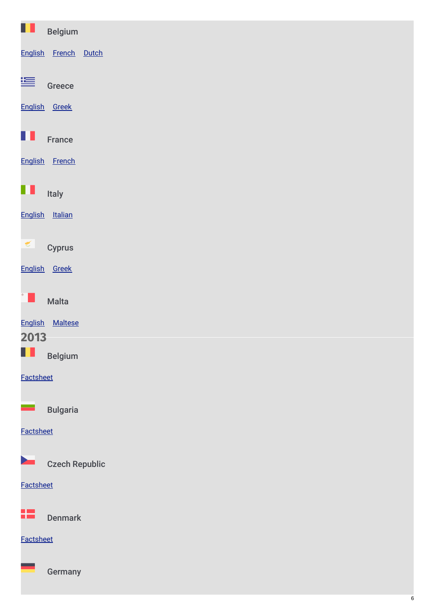| Ш<br><b>Belgium</b>     |  |  |
|-------------------------|--|--|
| English French Dutch    |  |  |
| 等<br>Greece             |  |  |
| English Greek           |  |  |
| ш<br>France             |  |  |
| English French          |  |  |
| Italy                   |  |  |
| English Italian         |  |  |
| $\leq$<br><b>Cyprus</b> |  |  |
| English Greek           |  |  |
| Malta                   |  |  |
| English Maltese         |  |  |
| 2013                    |  |  |
| W<br><b>Belgium</b>     |  |  |
| Factsheet               |  |  |
| <b>Bulgaria</b>         |  |  |
| Factsheet               |  |  |
| <b>Czech Republic</b>   |  |  |
| Factsheet               |  |  |
| æ<br><b>Denmark</b>     |  |  |
| Factsheet               |  |  |
| Germany                 |  |  |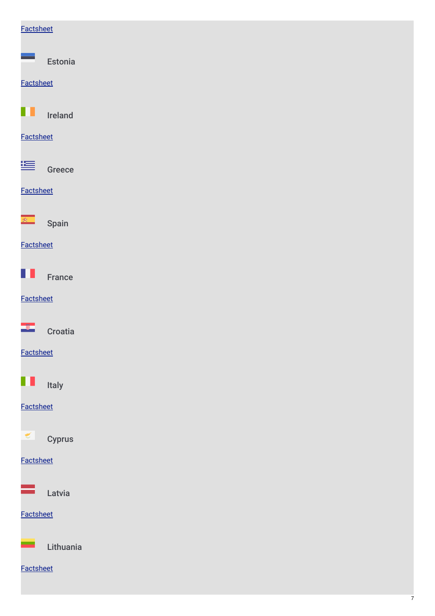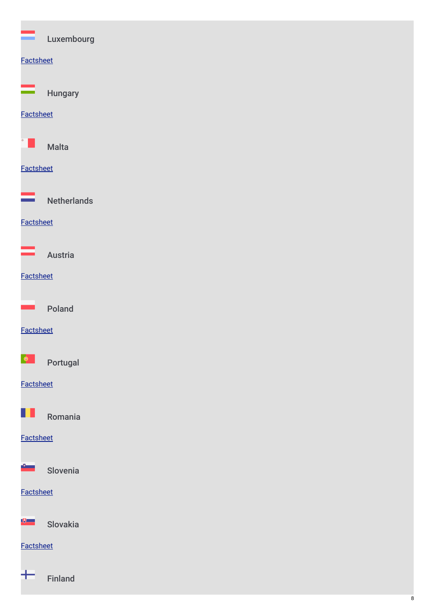|                  | Luxembourg         |  |
|------------------|--------------------|--|
| Factsheet        |                    |  |
|                  | <b>Hungary</b>     |  |
| <b>Factsheet</b> |                    |  |
|                  | <b>Malta</b>       |  |
| Factsheet        |                    |  |
|                  | <b>Netherlands</b> |  |
| Factsheet        |                    |  |
|                  | Austria            |  |
| <b>Factsheet</b> |                    |  |
|                  | Poland             |  |
| <b>Factsheet</b> |                    |  |
| $\bullet$        | Portugal           |  |
| <b>Factsheet</b> |                    |  |
| ш                | Romania            |  |
| <b>Factsheet</b> |                    |  |
| $\sim$           | Slovenia           |  |
| <b>Factsheet</b> |                    |  |
| $\mathbb{R}$     | Slovakia           |  |
| Factsheet        |                    |  |
| ┶                | <b>Finland</b>     |  |